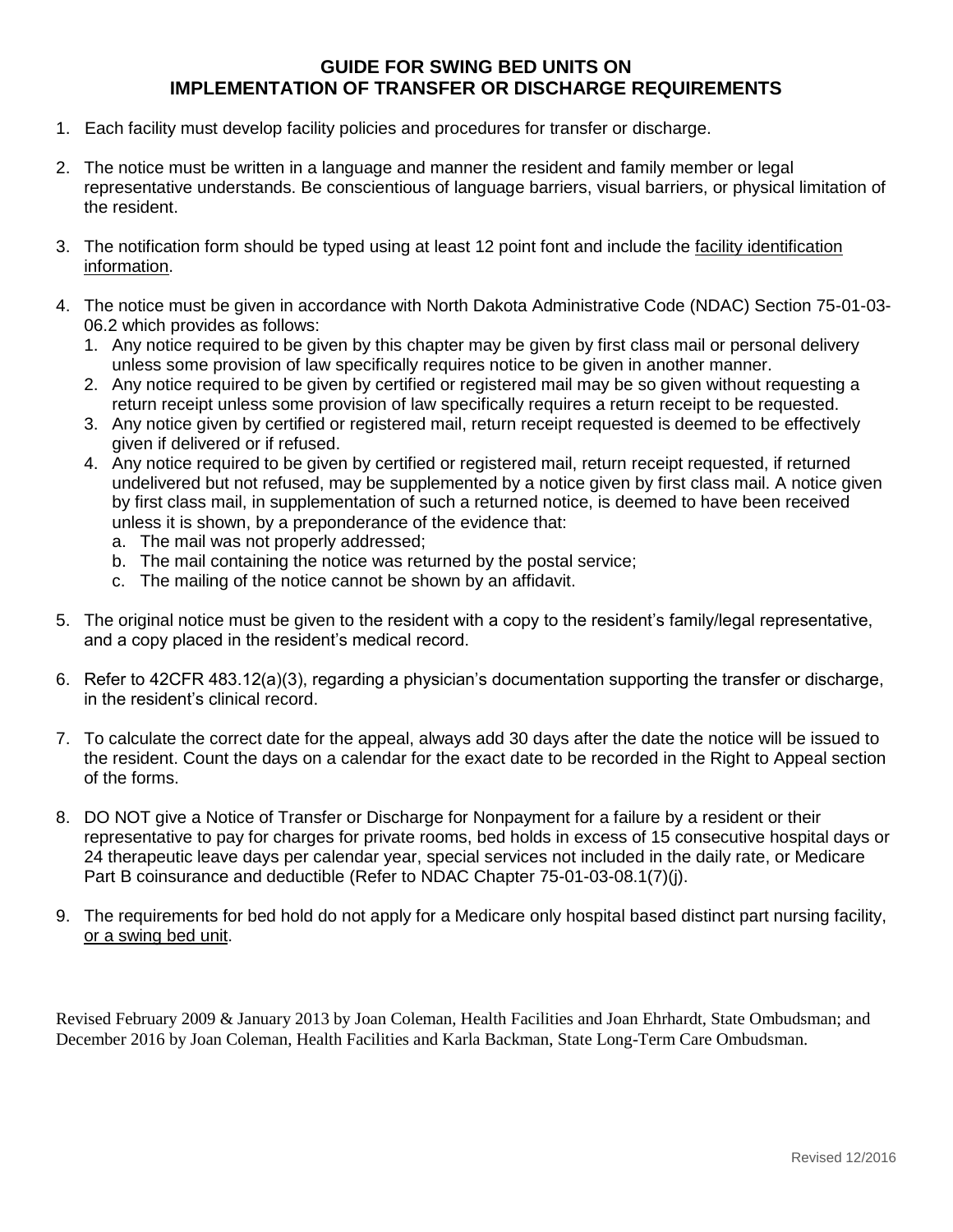# **GUIDE FOR SWING BED UNITS ON IMPLEMENTATION OF TRANSFER OR DISCHARGE REQUIREMENTS**

- 1. Each facility must develop facility policies and procedures for transfer or discharge.
- 2. The notice must be written in a language and manner the resident and family member or legal representative understands. Be conscientious of language barriers, visual barriers, or physical limitation of the resident.
- 3. The notification form should be typed using at least 12 point font and include the facility identification information.
- 4. The notice must be given in accordance with North Dakota Administrative Code (NDAC) Section 75-01-03- 06.2 which provides as follows:
	- 1. Any notice required to be given by this chapter may be given by first class mail or personal delivery unless some provision of law specifically requires notice to be given in another manner.
	- 2. Any notice required to be given by certified or registered mail may be so given without requesting a return receipt unless some provision of law specifically requires a return receipt to be requested.
	- 3. Any notice given by certified or registered mail, return receipt requested is deemed to be effectively given if delivered or if refused.
	- 4. Any notice required to be given by certified or registered mail, return receipt requested, if returned undelivered but not refused, may be supplemented by a notice given by first class mail. A notice given by first class mail, in supplementation of such a returned notice, is deemed to have been received unless it is shown, by a preponderance of the evidence that:
		- a. The mail was not properly addressed;
		- b. The mail containing the notice was returned by the postal service;
		- c. The mailing of the notice cannot be shown by an affidavit.
- 5. The original notice must be given to the resident with a copy to the resident's family/legal representative, and a copy placed in the resident's medical record.
- 6. Refer to 42CFR 483.12(a)(3), regarding a physician's documentation supporting the transfer or discharge, in the resident's clinical record.
- 7. To calculate the correct date for the appeal, always add 30 days after the date the notice will be issued to the resident. Count the days on a calendar for the exact date to be recorded in the Right to Appeal section of the forms.
- 8. DO NOT give a Notice of Transfer or Discharge for Nonpayment for a failure by a resident or their representative to pay for charges for private rooms, bed holds in excess of 15 consecutive hospital days or 24 therapeutic leave days per calendar year, special services not included in the daily rate, or Medicare Part B coinsurance and deductible (Refer to NDAC Chapter 75-01-03-08.1(7)(j).
- 9. The requirements for bed hold do not apply for a Medicare only hospital based distinct part nursing facility, or a swing bed unit.

Revised February 2009 & January 2013 by Joan Coleman, Health Facilities and Joan Ehrhardt, State Ombudsman; and December 2016 by Joan Coleman, Health Facilities and Karla Backman, State Long-Term Care Ombudsman.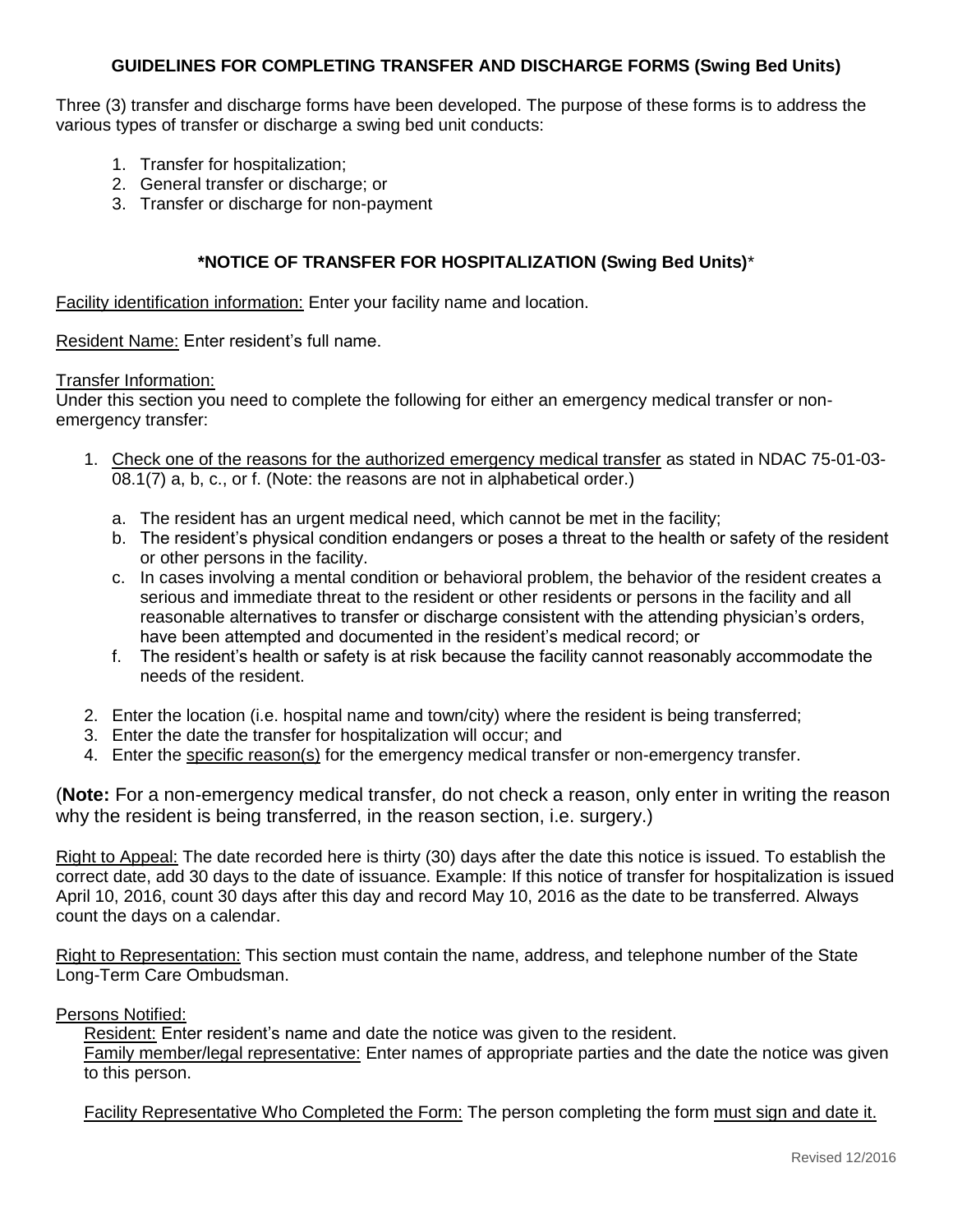# **GUIDELINES FOR COMPLETING TRANSFER AND DISCHARGE FORMS (Swing Bed Units)**

Three (3) transfer and discharge forms have been developed. The purpose of these forms is to address the various types of transfer or discharge a swing bed unit conducts:

- 1. Transfer for hospitalization;
- 2. General transfer or discharge; or
- 3. Transfer or discharge for non-payment

### **\*NOTICE OF TRANSFER FOR HOSPITALIZATION (Swing Bed Units)**\*

Facility identification information: Enter your facility name and location.

Resident Name: Enter resident's full name.

#### Transfer Information:

Under this section you need to complete the following for either an emergency medical transfer or nonemergency transfer:

- 1. Check one of the reasons for the authorized emergency medical transfer as stated in NDAC 75-01-03- 08.1(7) a, b, c., or f. (Note: the reasons are not in alphabetical order.)
	- a. The resident has an urgent medical need, which cannot be met in the facility;
	- b. The resident's physical condition endangers or poses a threat to the health or safety of the resident or other persons in the facility.
	- c. In cases involving a mental condition or behavioral problem, the behavior of the resident creates a serious and immediate threat to the resident or other residents or persons in the facility and all reasonable alternatives to transfer or discharge consistent with the attending physician's orders, have been attempted and documented in the resident's medical record; or
	- f. The resident's health or safety is at risk because the facility cannot reasonably accommodate the needs of the resident.
- 2. Enter the location (i.e. hospital name and town/city) where the resident is being transferred;
- 3. Enter the date the transfer for hospitalization will occur; and
- 4. Enter the specific reason(s) for the emergency medical transfer or non-emergency transfer.

(**Note:** For a non-emergency medical transfer, do not check a reason, only enter in writing the reason why the resident is being transferred, in the reason section, i.e. surgery.)

Right to Appeal: The date recorded here is thirty (30) days after the date this notice is issued. To establish the correct date, add 30 days to the date of issuance. Example: If this notice of transfer for hospitalization is issued April 10, 2016, count 30 days after this day and record May 10, 2016 as the date to be transferred. Always count the days on a calendar.

Right to Representation: This section must contain the name, address, and telephone number of the State Long-Term Care Ombudsman.

#### Persons Notified:

Resident: Enter resident's name and date the notice was given to the resident. Family member/legal representative: Enter names of appropriate parties and the date the notice was given to this person.

Facility Representative Who Completed the Form: The person completing the form must sign and date it.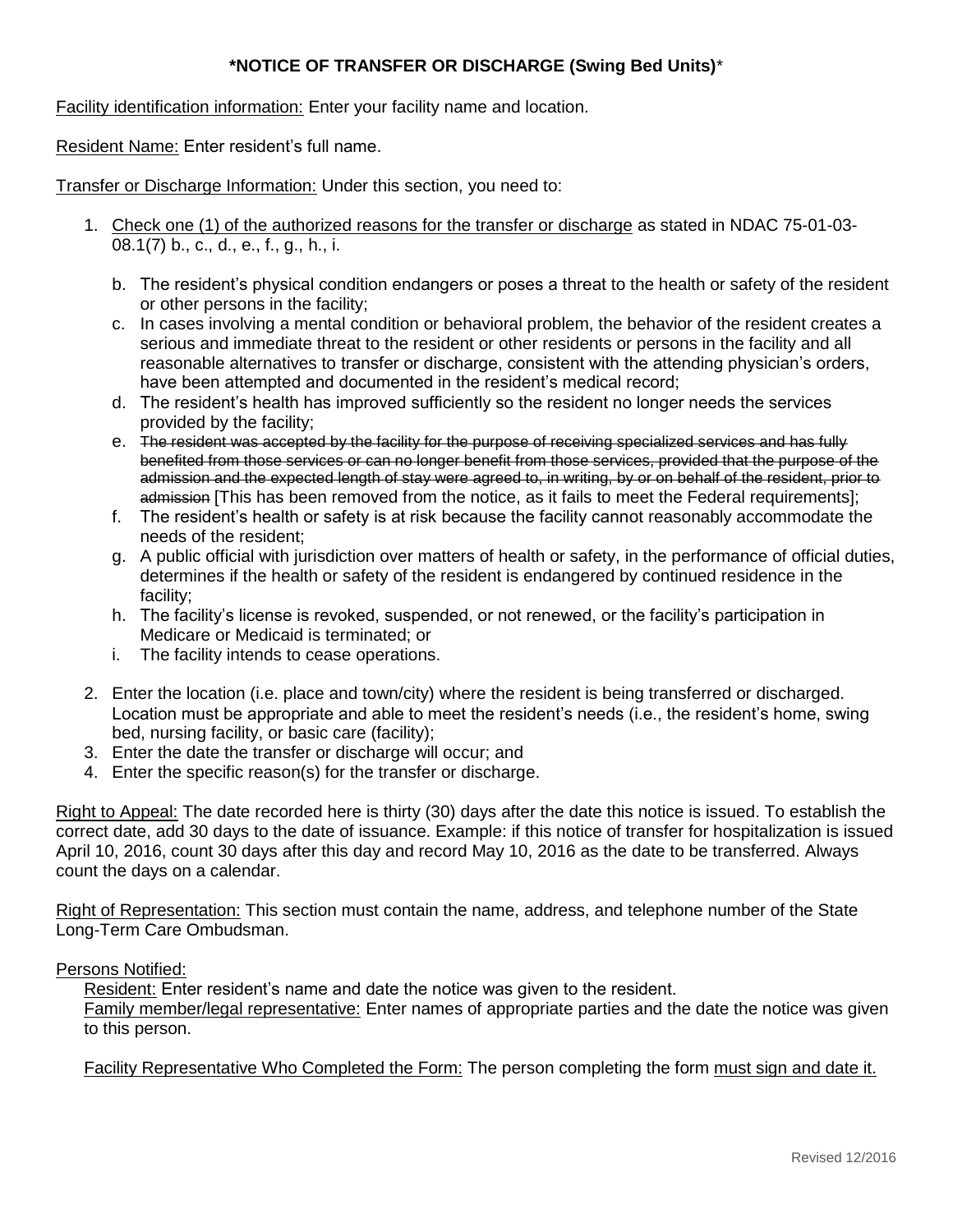# **\*NOTICE OF TRANSFER OR DISCHARGE (Swing Bed Units)**\*

Facility identification information: Enter your facility name and location.

Resident Name: Enter resident's full name.

Transfer or Discharge Information: Under this section, you need to:

- 1. Check one (1) of the authorized reasons for the transfer or discharge as stated in NDAC 75-01-03- 08.1(7) b., c., d., e., f., g., h., i.
	- b. The resident's physical condition endangers or poses a threat to the health or safety of the resident or other persons in the facility;
	- c. In cases involving a mental condition or behavioral problem, the behavior of the resident creates a serious and immediate threat to the resident or other residents or persons in the facility and all reasonable alternatives to transfer or discharge, consistent with the attending physician's orders, have been attempted and documented in the resident's medical record;
	- d. The resident's health has improved sufficiently so the resident no longer needs the services provided by the facility;
	- e. The resident was accepted by the facility for the purpose of receiving specialized services and has fully benefited from those services or can no longer benefit from those services, provided that the purpose of the admission and the expected length of stay were agreed to, in writing, by or on behalf of the resident, prior to admission [This has been removed from the notice, as it fails to meet the Federal requirements];
	- f. The resident's health or safety is at risk because the facility cannot reasonably accommodate the needs of the resident;
	- g. A public official with jurisdiction over matters of health or safety, in the performance of official duties, determines if the health or safety of the resident is endangered by continued residence in the facility;
	- h. The facility's license is revoked, suspended, or not renewed, or the facility's participation in Medicare or Medicaid is terminated; or
	- i. The facility intends to cease operations.
- 2. Enter the location (i.e. place and town/city) where the resident is being transferred or discharged. Location must be appropriate and able to meet the resident's needs (i.e., the resident's home, swing bed, nursing facility, or basic care (facility);
- 3. Enter the date the transfer or discharge will occur; and
- 4. Enter the specific reason(s) for the transfer or discharge.

Right to Appeal: The date recorded here is thirty (30) days after the date this notice is issued. To establish the correct date, add 30 days to the date of issuance. Example: if this notice of transfer for hospitalization is issued April 10, 2016, count 30 days after this day and record May 10, 2016 as the date to be transferred. Always count the days on a calendar.

Right of Representation: This section must contain the name, address, and telephone number of the State Long-Term Care Ombudsman.

### Persons Notified:

Resident: Enter resident's name and date the notice was given to the resident.

Family member/legal representative: Enter names of appropriate parties and the date the notice was given to this person.

Facility Representative Who Completed the Form: The person completing the form must sign and date it.